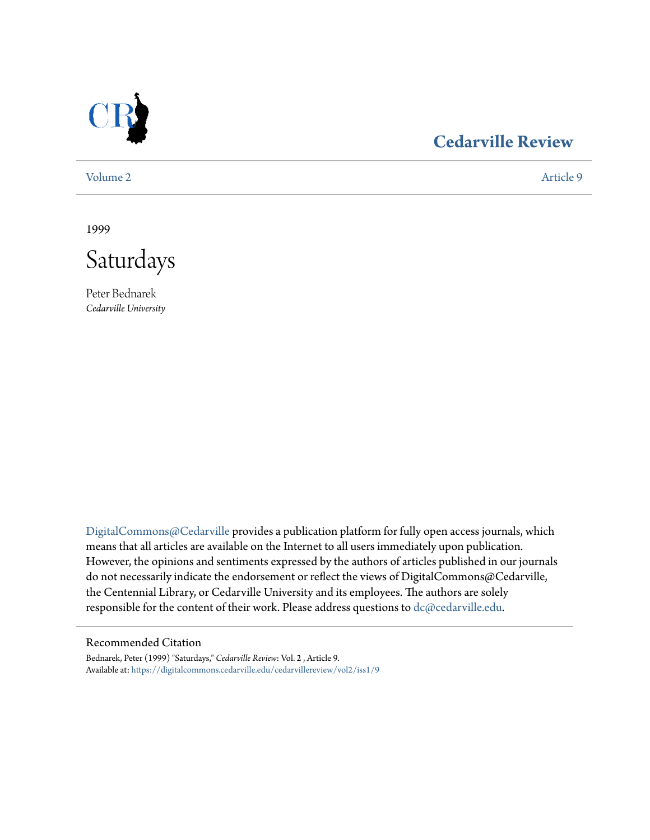

## **[Cedarville Review](https://digitalcommons.cedarville.edu/cedarvillereview?utm_source=digitalcommons.cedarville.edu%2Fcedarvillereview%2Fvol2%2Fiss1%2F9&utm_medium=PDF&utm_campaign=PDFCoverPages)**

[Volume 2](https://digitalcommons.cedarville.edu/cedarvillereview/vol2?utm_source=digitalcommons.cedarville.edu%2Fcedarvillereview%2Fvol2%2Fiss1%2F9&utm_medium=PDF&utm_campaign=PDFCoverPages) [Article 9](https://digitalcommons.cedarville.edu/cedarvillereview/vol2/iss1/9?utm_source=digitalcommons.cedarville.edu%2Fcedarvillereview%2Fvol2%2Fiss1%2F9&utm_medium=PDF&utm_campaign=PDFCoverPages)

1999



Peter Bednarek *Cedarville University*

[DigitalCommons@Cedarville](http://digitalcommons.cedarville.edu) provides a publication platform for fully open access journals, which means that all articles are available on the Internet to all users immediately upon publication. However, the opinions and sentiments expressed by the authors of articles published in our journals do not necessarily indicate the endorsement or reflect the views of DigitalCommons@Cedarville, the Centennial Library, or Cedarville University and its employees. The authors are solely responsible for the content of their work. Please address questions to [dc@cedarville.edu](mailto:dc@cedarville.edu).

#### Recommended Citation

Bednarek, Peter (1999) "Saturdays," *Cedarville Review*: Vol. 2 , Article 9. Available at: [https://digitalcommons.cedarville.edu/cedarvillereview/vol2/iss1/9](https://digitalcommons.cedarville.edu/cedarvillereview/vol2/iss1/9?utm_source=digitalcommons.cedarville.edu%2Fcedarvillereview%2Fvol2%2Fiss1%2F9&utm_medium=PDF&utm_campaign=PDFCoverPages)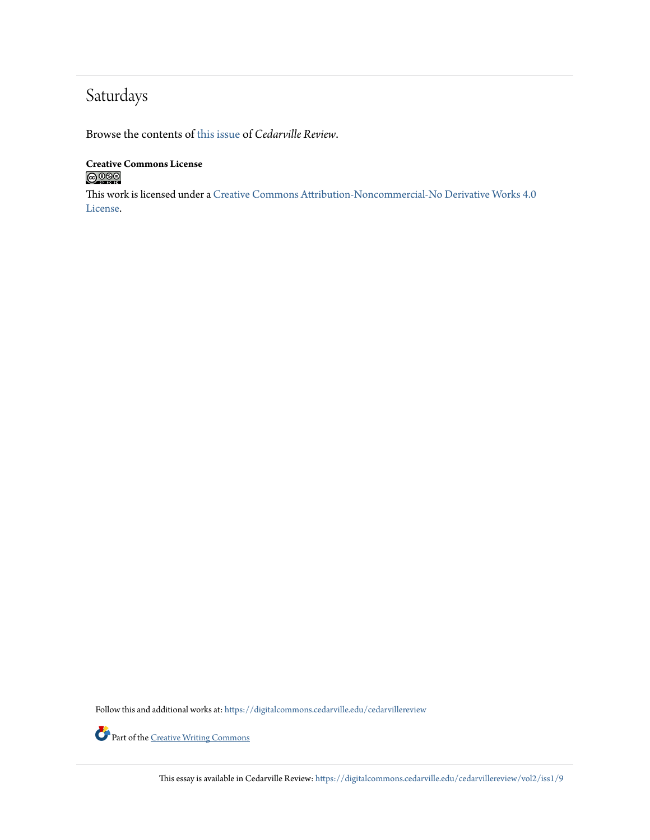# Saturdays

Browse the contents of [this issue](https://digitalcommons.cedarville.edu/cedarvillereview/vol2/iss1) of *Cedarville Review*.

### **Creative Commons License**  $\bigcirc$  000

This work is licensed under a [Creative Commons Attribution-Noncommercial-No Derivative Works 4.0](http://creativecommons.org/licenses/by-nc-nd/4.0/) [License.](http://creativecommons.org/licenses/by-nc-nd/4.0/)

Follow this and additional works at: [https://digitalcommons.cedarville.edu/cedarvillereview](https://digitalcommons.cedarville.edu/cedarvillereview?utm_source=digitalcommons.cedarville.edu%2Fcedarvillereview%2Fvol2%2Fiss1%2F9&utm_medium=PDF&utm_campaign=PDFCoverPages)



Part of the <u>[Creative Writing Commons](http://network.bepress.com/hgg/discipline/574?utm_source=digitalcommons.cedarville.edu%2Fcedarvillereview%2Fvol2%2Fiss1%2F9&utm_medium=PDF&utm_campaign=PDFCoverPages)</u>

This essay is available in Cedarville Review: [https://digitalcommons.cedarville.edu/cedarvillereview/vol2/iss1/9](https://digitalcommons.cedarville.edu/cedarvillereview/vol2/iss1/9?utm_source=digitalcommons.cedarville.edu%2Fcedarvillereview%2Fvol2%2Fiss1%2F9&utm_medium=PDF&utm_campaign=PDFCoverPages)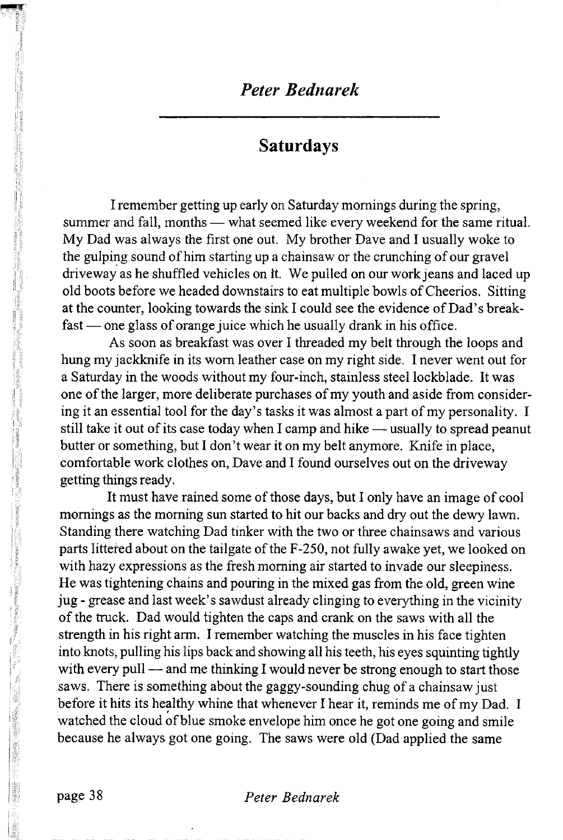## *Peter Bednarek*

## **Saturdays**

I remember getting up early on Saturday mornings during the spring, summer and fall, months — what seemed like every weekend for the same ritual. My Dad was always the first one out. My brother Dave and I usually woke to the gulping sound of him starting up a chainsaw or the crunching of our gravel driveway as he shuffled vehicles on it. We pulled on our work jeans and laced up old boots before we headed downstairs to eat multiple bowls of Cheerios. Sitting at the counter, looking towards the sink I could see the evidence of Dad's breakfast — one glass of orange juice which he usually drank in his office.

As soon as breakfast was over I threaded my belt through the loops and hung my jackknife in its worn leather case on my right side. I never went out for a Saturday in the woods without my four-inch, stainless steel lockblade. It was one of the larger, more deliberate purchases of my youth and aside from considering it an essential tool for the day's tasks it was almost a part of my personality. I still take it out of its case today when I camp and hike — usually to spread peanut butter or something, but I don't wear it on my belt anymore. Knife in place, comfortable work clothes on, Dave and I found ourselves out on the driveway getting things ready.

It must have rained some of those days, but I only have an image of cool mornings as the morning sun started to hit our backs and dry out the dewy lawn. Standing there watching Dad tinker with the two or three chainsaws and various parts littered about on the tailgate of the F-250, not fully awake yet, we looked on with hazy expressions as the fresh morning air started to invade our sleepiness. He was tightening chains and pouring in the mixed gas from the old, green wine jug - grease and last week's sawdust already clinging to everything in the vicinity of the truck. Dad would tighten the caps and crank on the saws with all the strength in his right arm. I remember watching the muscles in his face tighten into knots, pulling his lips back and showing all his teeth, his eyes squinting tightly with every pull — and me thinking I would never be strong enough to start those saws. There is something about the gaggy-sounding chug of a chainsaw just before it hits its healthy whine that whenever I hear it, reminds me of my Dad. I watched the cloud of blue smoke envelope him once he got one going and smile because he always got one going. The saws were old (Dad applied the same

#### **page 38** *Peter Bednarek*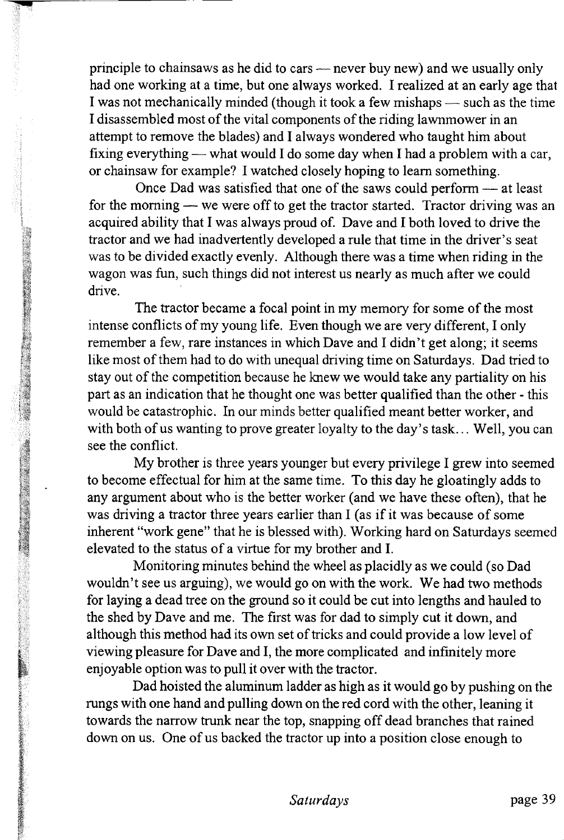principle to chainsaws as he did to cars — never buy new) and we usually only had one working at a time, but one always worked. I realized at an early age that I was not mechanically minded (though it took a few mishaps — such as the time I disassembled most of the vital components of the riding lawnmower in an attempt to remove the blades) and I always wondered who taught him about fixing everything — what would I do some day when I had a problem with a car, or chainsaw for example? I watched closely hoping to learn something.

Once Dad was satisfied that one of the saws could perform — at least for the morning — we were off to get the tractor started. Tractor driving was an acquired ability that I was always proud of. Dave and I both loved to drive the tractor and we had inadvertently developed a rule that time in the driver's seat was to be divided exactly evenly. Although there was a time when riding in the wagon was fun, such things did not interest us nearly as much after we could drive.

The tractor became a focal point in my memory for some of the most intense conflicts of my young life. Even though we are very different, I only remember a few, rare instances in which Dave and I didn't get along; it seems like most of them had to do with unequal driving time on Saturdays. Dad tried to stay out of the competition because he knew we would take any partiality on his part as an indication that he thought one was better qualified than the other - this would be catastrophic. In our minds better qualified meant better worker, and with both of us wanting to prove greater loyalty to the day's task... Well, you can see the conflict.

「大きなので、そのことをもちます。そのことをもっていることです。そのことは、そのことになっている。そのことは、そのことは、それで、そのことに、そのことに、そのことになることになっている。そのことは、そ このことには、そのことには、そのことは、「この間違うので、そのことに、「自然のことは、自然のことは、「自然のことは、「自然のことは、「自然のことは、「自然のことは、「自然のことは、「自然のことは、「自然のことは、「自然のことは、「自然のこ

My brother is three years younger but every privilege I grew into seemed to become effectual for him at the same time. To this day he gloatingly adds to any argument about who is the better worker (and we have these often), that he was driving a tractor three years earlier than I (as if it was because of some inherent "work gene" that he is blessed with). Working hard on Saturdays seemed elevated to the status of a virtue for my brother and I.

Monitoring minutes behind the wheel as placidly as we could (so Dad wouldn't see us arguing), we would go on with the work. We had two methods for laying a dead tree on the ground so it could be cut into lengths and hauled to the shed by Dave and me. The first was for dad to simply cut it down, and although this method had its own set of tricks and could provide a low level of viewing pleasure for Dave and I, the more complicated and infinitely more enjoyable option was to pull it over with the tractor.

Dad hoisted the aluminum ladder as high as it would go by pushing on the rungs with one hand and pulling down on the red cord with the other, leaning it towards the narrow trunk near the top, snapping off dead branches that rained down on us. One of us backed the tractor up into a position close enough to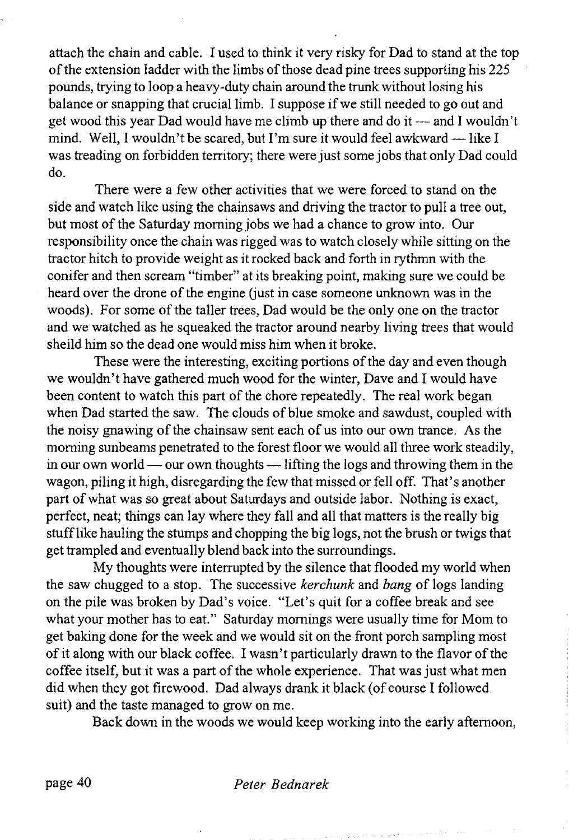attach the chain and cable. I used to think it very risky for Dad to stand at the top of the extension ladder with the limbs of those dead pine trees supporting his 225 pounds, trying to loop a heavy-duty chain around the trunk without losing his balance or snapping that crucial limb. I suppose if we still needed to go out and get wood this year Dad would have me climb up there and do it — and I wouldn't mind. Well, I wouldn't be scared, but I'm sure it would feel awkward — like I was treading on forbidden territory; there were just some jobs that only Dad could do.

There were a few other activities that we were forced to stand on the side and watch like using the chainsaws and driving the tractor to pull a tree out, but most of the Saturday morning jobs we had a chance to grow into. Our responsibility once the chain was rigged was to watch closely while sitting on the tractor hitch to provide weight as it rocked back and forth in rythmn with the conifer and then scream "timber" at its breaking point, making sure we could be heard over the drone of the engine (just in case someone unknown was in the woods). For some of the taller trees, Dad would be the only one on the tractor and we watched as he squeaked the tractor around nearby living trees that would sheild him so the dead one would miss him when it broke.

These were the interesting, exciting portions of the day and even though we wouldn't have gathered much wood for the winter, Dave and I would have been content to watch this part of the chore repeatedly. The real work began when Dad started the saw. The clouds of blue smoke and sawdust, coupled with the noisy gnawing of the chainsaw sent each of us into our own trance. As the morning sunbeams penetrated to the forest floor we would all three work steadily, in our own world — our own thoughts — lifting the logs and throwing them in the wagon, piling it high, disregarding the few that missed or fell off. That's another part of what was so great about Saturdays and outside labor. Nothing is exact, perfect, neat; things can lay where they fall and all that matters is the really big stuff like hauling the stumps and chopping the big logs, not the brush or twigs that get trampled and eventually blend back into the surroundings.

My thoughts were interrupted by the silence that flooded my world when the saw chugged to a stop. The successive *kerchunk* and *bang* of logs landing on the pile was broken by Dad's voice. "Let's quit for a coffee break and see what your mother has to eat." Saturday mornings were usually time for Mom to get baking done for the week and we would sit on the front porch sampling most of it along with our black coffee. I wasn't particularly drawn to the flavor of the coffee itself, but it was a part of the whole experience. That was just what men did when they got firewood. Dad always drank it black (of course I followed suit) and the taste managed to grow on me.

Back down in the woods we would keep working into the early afternoon,

#### **page 40** *Peter Bednarek*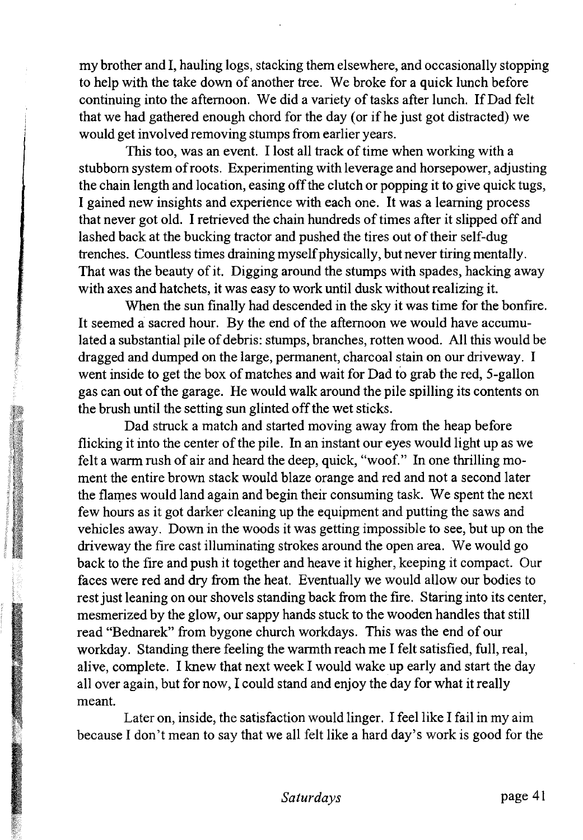my brother and I, hauling logs, stacking them elsewhere, and occasionally stopping to help with the take down of another tree. We broke for a quick lunch before continuing into the afternoon. We did a variety of tasks after lunch. If Dad felt that we had gathered enough chord for the day (or if he just got distracted) we would get involved removing stumps from earlier years.

This too, was an event. I lost all track of time when working with a stubborn system of roots. Experimenting with leverage and horsepower, adjusting the chain length and location, easing off the clutch or popping it to give quick tugs, I gained new insights and experience with each one. It was a learning process that never got old. I retrieved the chain hundreds of times after it slipped off and lashed back at the bucking tractor and pushed the tires out of their self-dug trenches. Countless times draining myself physically, but never tiring mentally. That was the beauty of it. Digging around the stumps with spades, hacking away with axes and hatchets, it was easy to work until dusk without realizing it.

When the sun finally had descended in the sky it was time for the bonfire. It seemed a sacred hour. By the end of the afternoon we would have accumulated a substantial pile of debris: stumps, branches, rotten wood. All this would be dragged and dumped on the large, permanent, charcoal stain on our driveway. I went inside to get the box of matches and wait for Dad to grab the red, 5-gallon gas can out of the garage. He would walk around the pile spilling its contents on the brush until the setting sun glinted off the wet sticks.

Dad struck a match and started moving away from the heap before flicking it into the center of the pile. In an instant our eyes would light up as we felt a warm rush of air and heard the deep, quick, "woof." In one thrilling moment the entire brown stack would blaze orange and red and not a second later the flames would land again and begin their consuming task. We spent the next few hours as it got darker cleaning up the equipment and putting the saws and vehicles away. Down in the woods it was getting impossible to see, but up on the driveway the fire cast illuminating strokes around the open area. We would go back to the fire and push it together and heave it higher, keeping it compact. Our faces were red and dry from the heat. Eventually we would allow our bodies to rest just leaning on our shovels standing back from the fire. Staring into its center, mesmerized by the glow, our sappy hands stuck to the wooden handles that still read "Bednarek" from bygone church workdays. This was the end of our workday. Standing there feeling the warmth reach me I felt satisfied, full, real, alive, complete. I knew that next week I would wake up early and start the day all over again, but for now, I could stand and enjoy the day for what it really meant.

Later on, inside, the satisfaction would linger. I feel like I fail in my aim because I don't mean to say that we all felt like a hard day's work is good for the